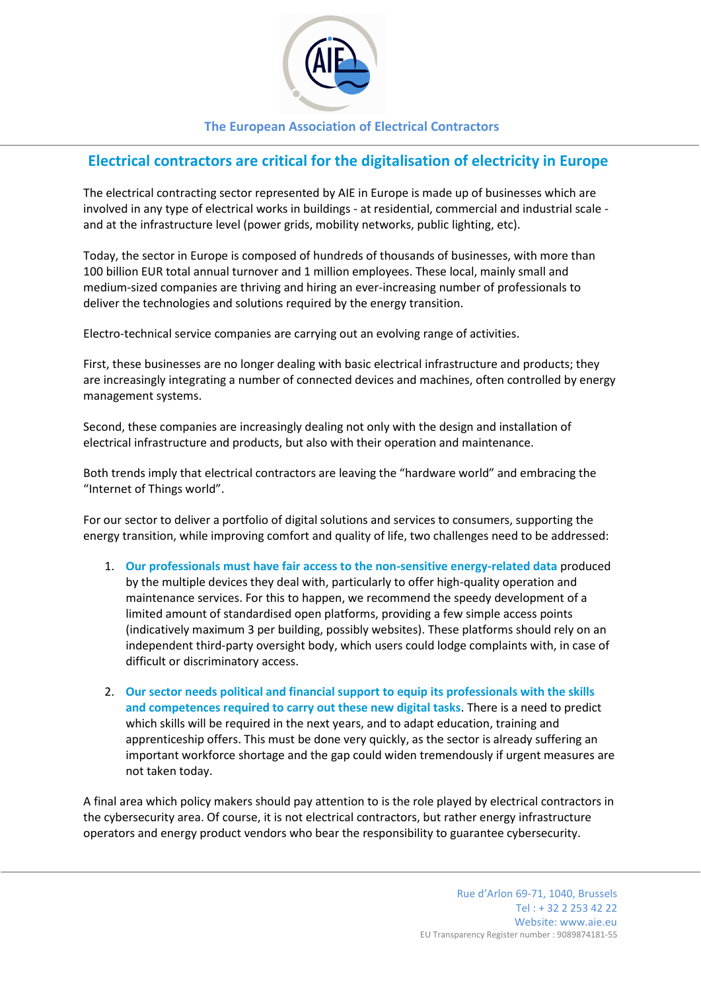

# **The European Association of Electrical Contractors**

# **Electrical contractors are critical for the digitalisation of electricity in Europe**

The electrical contracting sector represented by AIE in Europe is made up of businesses which are involved in any type of electrical works in buildings - at residential, commercial and industrial scale and at the infrastructure level (power grids, mobility networks, public lighting, etc).

Today, the sector in Europe is composed of hundreds of thousands of businesses, with more than 100 billion EUR total annual turnover and 1 million employees. These local, mainly small and medium-sized companies are thriving and hiring an ever-increasing number of professionals to deliver the technologies and solutions required by the energy transition.

Electro-technical service companies are carrying out an evolving range of activities.

First, these businesses are no longer dealing with basic electrical infrastructure and products; they are increasingly integrating a number of connected devices and machines, often controlled by energy management systems.

Second, these companies are increasingly dealing not only with the design and installation of electrical infrastructure and products, but also with their operation and maintenance.

Both trends imply that electrical contractors are leaving the "hardware world" and embracing the "Internet of Things world".

For our sector to deliver a portfolio of digital solutions and services to consumers, supporting the energy transition, while improving comfort and quality of life, two challenges need to be addressed:

- 1. **Our professionals must have fair access to the non-sensitive energy-related data** produced by the multiple devices they deal with, particularly to offer high-quality operation and maintenance services. For this to happen, we recommend the speedy development of a limited amount of standardised open platforms, providing a few simple access points (indicatively maximum 3 per building, possibly websites). These platforms should rely on an independent third-party oversight body, which users could lodge complaints with, in case of difficult or discriminatory access.
- 2. **Our sector needs political and financial support to equip its professionals with the skills and competences required to carry out these new digital tasks**. There is a need to predict which skills will be required in the next years, and to adapt education, training and apprenticeship offers. This must be done very quickly, as the sector is already suffering an important workforce shortage and the gap could widen tremendously if urgent measures are not taken today.

A final area which policy makers should pay attention to is the role played by electrical contractors in the cybersecurity area. Of course, it is not electrical contractors, but rather energy infrastructure operators and energy product vendors who bear the responsibility to guarantee cybersecurity.